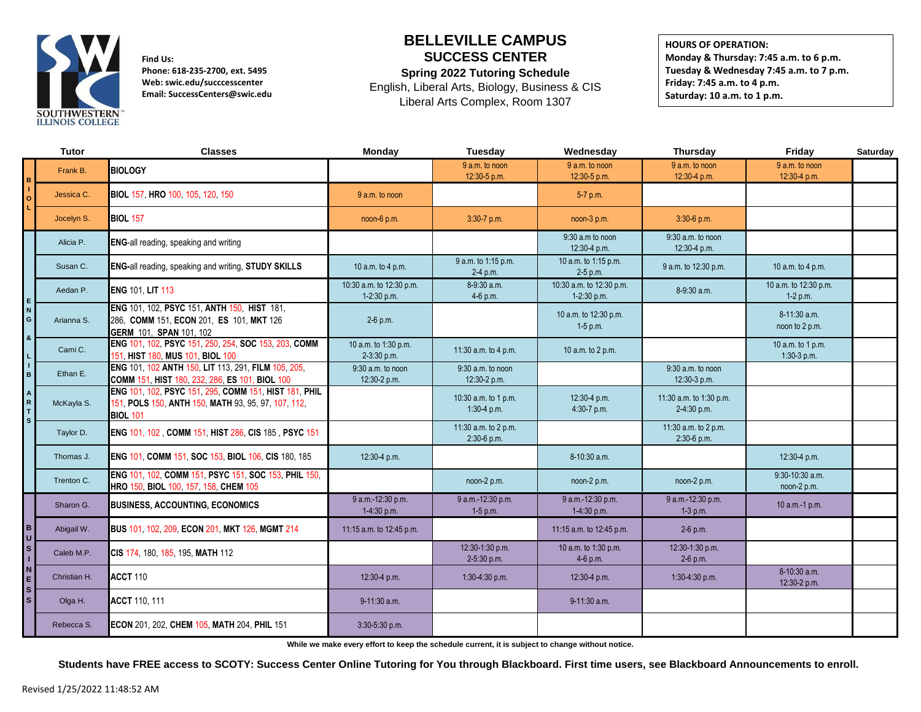

**Find Us: Phone: 618-235-2700, ext. 5495 Web: swic.edu/succcesscenter Email: SuccessCenters@swic.edu**

## **BELLEVILLE CAMPUS SUCCESS CENTER**

**Spring 2022 Tutoring Schedule**

English, Liberal Arts, Biology, Business & CIS Liberal Arts Complex, Room 1307

**HOURS OF OPERATION: Monday & Thursday: 7:45 a.m. to 6 p.m. Tuesday & Wednesday 7:45 a.m. to 7 p.m. Friday: 7:45 a.m. to 4 p.m. Saturday: 10 a.m. to 1 p.m.**

|                                                                | Tutor        | <b>Classes</b>                                                                                                                  | Monday                                  | Tuesday                             | Wednesday                               | <b>Thursday</b>                        | Friday                              | Saturday |
|----------------------------------------------------------------|--------------|---------------------------------------------------------------------------------------------------------------------------------|-----------------------------------------|-------------------------------------|-----------------------------------------|----------------------------------------|-------------------------------------|----------|
|                                                                | Frank B.     | <b>BIOLOGY</b>                                                                                                                  |                                         | 9 a.m. to noon<br>12:30-5 p.m.      | 9 a.m. to noon<br>12:30-5 p.m.          | 9 a.m. to noon<br>12:30-4 p.m.         | 9 a.m. to noon<br>12:30-4 p.m.      |          |
| $\circ$                                                        | Jessica C.   | BIOL 157, HRO 100, 105, 120, 150                                                                                                | 9 a.m. to noon                          |                                     | 5-7 p.m.                                |                                        |                                     |          |
|                                                                | Jocelyn S.   | <b>BIOL 157</b>                                                                                                                 | noon-6 p.m.                             | 3:30-7 p.m.                         | noon-3 p.m.                             | $3:30-6$ p.m.                          |                                     |          |
|                                                                | Alicia P.    | ENG-all reading, speaking and writing                                                                                           |                                         |                                     | 9:30 a.m to noon<br>12:30-4 p.m.        | $9:30$ a.m. to noon<br>12:30-4 p.m.    |                                     |          |
|                                                                | Susan C.     | ENG-all reading, speaking and writing, STUDY SKILLS                                                                             | 10 a.m. to 4 p.m.                       | 9 a.m. to 1:15 p.m.<br>2-4 p.m.     | 10 a.m. to 1:15 p.m.<br>2-5 p.m.        | 9 a.m. to 12:30 p.m.                   | 10 a.m. to 4 p.m.                   |          |
| E<br>N<br>G<br>$\boldsymbol{8}$                                | Aedan P.     | <b>ENG 101, LIT 113</b>                                                                                                         | 10:30 a.m. to 12:30 p.m.<br>1-2:30 p.m. | 8-9:30 a.m.<br>4-6 p.m.             | 10:30 a.m. to 12:30 p.m.<br>1-2:30 p.m. | 8-9:30 a.m.                            | 10 a.m. to 12:30 p.m.<br>$1-2 p.m.$ |          |
|                                                                | Arianna S.   | ENG 101, 102, PSYC 151, ANTH 150, HIST 181,<br>286, COMM 151, ECON 201, ES 101, MKT 126<br><b>GERM 101. SPAN 101. 102</b>       | $2-6$ p.m.                              |                                     | 10 a.m. to 12:30 p.m.<br>$1-5$ p.m.     |                                        | 8-11:30 a.m.<br>noon to 2 p.m.      |          |
|                                                                | Cami C.      | ENG 101, 102, PSYC 151, 250, 254, SOC 153, 203, COMM<br>151, HIST 180, MUS 101, BIOL 100                                        | 10 a.m. to 1:30 p.m.<br>2-3:30 p.m.     | 11:30 $a.m.$ to 4 $p.m.$            | 10 a.m. to 2 p.m.                       |                                        | 10 a.m. to 1 p.m.<br>$1:30-3$ p.m.  |          |
| $\frac{1}{B}$                                                  | Ethan E.     | ENG 101, 102 ANTH 150, LIT 113, 291, FILM 105, 205,<br>COMM 151, HIST 180, 232, 286, ES 101, BIOL 100                           | $9:30$ a.m. to noon<br>12:30-2 p.m.     | $9:30$ a.m. to noon<br>12:30-2 p.m. |                                         | $9:30$ a.m. to noon<br>12:30-3 p.m.    |                                     |          |
| $\begin{array}{c}\nA \\ R \\ T\n\end{array}$<br>s <sub>1</sub> | McKayla S.   | ENG 101, 102, PSYC 151, 295, COMM 151, HIST 181, PHIL<br>151, POLS 150, ANTH 150, MATH 93, 95, 97, 107, 112,<br><b>BIOL 101</b> |                                         | 10:30 a.m. to 1 p.m.<br>1:30-4 p.m. | 12:30-4 p.m.<br>4:30-7 p.m.             | 11:30 a.m. to 1:30 p.m.<br>2-4:30 p.m. |                                     |          |
|                                                                | Taylor D.    | ENG 101, 102, COMM 151, HIST 286, CIS 185, PSYC 151                                                                             |                                         | 11:30 a.m. to 2 p.m.<br>2:30-6 p.m. |                                         | 11:30 a.m. to 2 p.m.<br>2:30-6 p.m.    |                                     |          |
|                                                                | Thomas J.    | ENG 101, COMM 151, SOC 153, BIOL 106, CIS 180, 185                                                                              | 12:30-4 p.m.                            |                                     | 8-10:30 a.m.                            |                                        | 12:30-4 p.m.                        |          |
|                                                                | Trenton C.   | ENG 101, 102, COMM 151, PSYC 151, SOC 153, PHIL 150,<br>HRO 150, BIOL 100, 157, 158, CHEM 105                                   |                                         | noon-2 p.m.                         | noon-2 p.m.                             | noon-2 p.m.                            | $9:30-10:30$ a.m.<br>noon-2 p.m.    |          |
| $\mathbf{B}$                                                   | Sharon G.    | <b>BUSINESS, ACCOUNTING, ECONOMICS</b>                                                                                          | 9 a.m.-12:30 p.m.<br>1-4:30 p.m.        | 9 a.m.-12:30 p.m.<br>1-5 p.m.       | 9 a.m.-12:30 p.m.<br>1-4:30 p.m.        | 9 a.m.-12:30 p.m.<br>$1-3$ p.m.        | 10 a.m.-1 p.m.                      |          |
|                                                                | Abigail W.   | BUS 101, 102, 209, ECON 201, MKT 126, MGMT 214                                                                                  | 11:15 a.m. to 12:45 p.m.                |                                     | 11:15 a.m. to 12:45 p.m.                | $2-6$ p.m.                             |                                     |          |
| $\overline{u}$                                                 | Caleb M.P.   | CIS 174, 180, 185, 195, MATH 112                                                                                                |                                         | 12:30-1:30 p.m.<br>2-5:30 p.m.      | 10 a.m. to 1:30 p.m.<br>4-6 p.m.        | 12:30-1:30 p.m.<br>2-6 p.m.            |                                     |          |
| N<br>E<br>s <sub>1</sub><br>s <sub>1</sub>                     | Christian H. | ACCT 110                                                                                                                        | 12:30-4 p.m.                            | 1:30-4:30 p.m.                      | 12:30-4 p.m.                            | 1:30-4:30 p.m.                         | 8-10:30 a.m.<br>12:30-2 p.m.        |          |
|                                                                | Olga H.      | <b>ACCT</b> 110, 111                                                                                                            | $9-11:30$ a.m.                          |                                     | $9-11:30$ a.m.                          |                                        |                                     |          |
|                                                                | Rebecca S.   | ECON 201, 202, CHEM 105, MATH 204, PHIL 151                                                                                     | 3:30-5:30 p.m.                          |                                     |                                         |                                        |                                     |          |

**While we make every effort to keep the schedule current, it is subject to change without notice.**

**Students have FREE access to SCOTY: Success Center Online Tutoring for You through Blackboard. First time users, see Blackboard Announcements to enroll.**